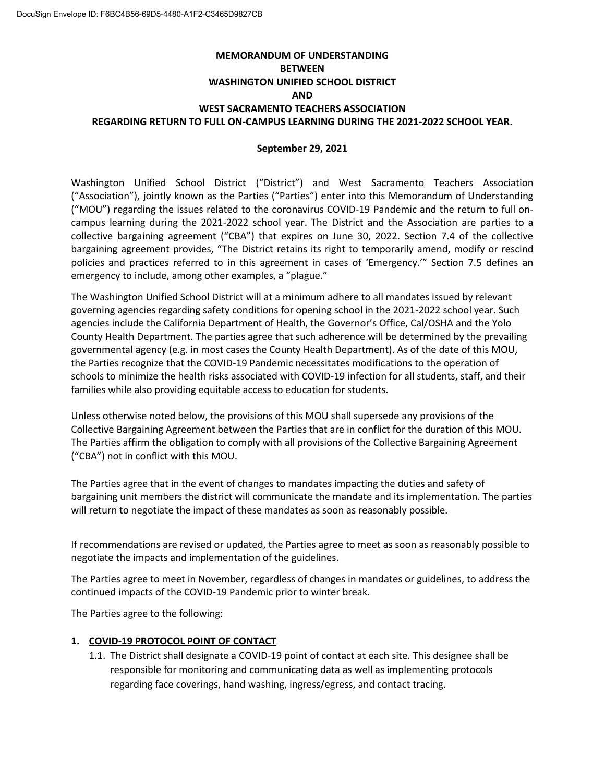## **MEMORANDUM OF UNDERSTANDING BETWEEN WASHINGTON UNIFIED SCHOOL DISTRICT AND WEST SACRAMENTO TEACHERS ASSOCIATION REGARDING RETURN TO FULL ON-CAMPUS LEARNING DURING THE 2021-2022 SCHOOL YEAR.**

#### **September 29, 2021**

Washington Unified School District ("District") and West Sacramento Teachers Association ("Association"), jointly known as the Parties ("Parties") enter into this Memorandum of Understanding ("MOU") regarding the issues related to the coronavirus COVID-19 Pandemic and the return to full oncampus learning during the 2021-2022 school year. The District and the Association are parties to a collective bargaining agreement ("CBA") that expires on June 30, 2022. Section 7.4 of the collective bargaining agreement provides, "The District retains its right to temporarily amend, modify or rescind policies and practices referred to in this agreement in cases of 'Emergency.'" Section 7.5 defines an emergency to include, among other examples, a "plague."

The Washington Unified School District will at a minimum adhere to all mandates issued by relevant governing agencies regarding safety conditions for opening school in the 2021-2022 school year. Such agencies include the California Department of Health, the Governor's Office, Cal/OSHA and the Yolo County Health Department. The parties agree that such adherence will be determined by the prevailing governmental agency (e.g. in most cases the County Health Department). As of the date of this MOU, the Parties recognize that the COVID-19 Pandemic necessitates modifications to the operation of schools to minimize the health risks associated with COVID-19 infection for all students, staff, and their families while also providing equitable access to education for students.

Unless otherwise noted below, the provisions of this MOU shall supersede any provisions of the Collective Bargaining Agreement between the Parties that are in conflict for the duration of this MOU. The Parties affirm the obligation to comply with all provisions of the Collective Bargaining Agreement ("CBA") not in conflict with this MOU.

The Parties agree that in the event of changes to mandates impacting the duties and safety of bargaining unit members the district will communicate the mandate and its implementation. The parties will return to negotiate the impact of these mandates as soon as reasonably possible.

If recommendations are revised or updated, the Parties agree to meet as soon as reasonably possible to negotiate the impacts and implementation of the guidelines.

The Parties agree to meet in November, regardless of changes in mandates or guidelines, to address the continued impacts of the COVID-19 Pandemic prior to winter break.

The Parties agree to the following:

#### **1. COVID-19 PROTOCOL POINT OF CONTACT**

1.1. The District shall designate a COVID-19 point of contact at each site. This designee shall be responsible for monitoring and communicating data as well as implementing protocols regarding face coverings, hand washing, ingress/egress, and contact tracing.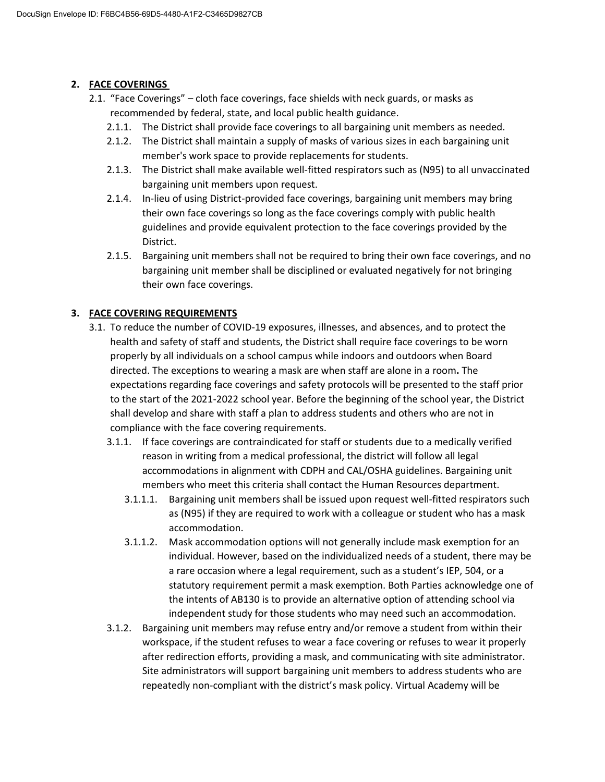## **2. FACE COVERINGS**

- 2.1. "Face Coverings" cloth face coverings, face shields with neck guards, or masks as recommended by federal, state, and local public health guidance.
	- 2.1.1. The District shall provide face coverings to all bargaining unit members as needed.
	- 2.1.2. The District shall maintain a supply of masks of various sizes in each bargaining unit member's work space to provide replacements for students.
	- 2.1.3. The District shall make available well-fitted respirators such as (N95) to all unvaccinated bargaining unit members upon request.
	- 2.1.4. In-lieu of using District-provided face coverings, bargaining unit members may bring their own face coverings so long as the face coverings comply with public health guidelines and provide equivalent protection to the face coverings provided by the District.
	- 2.1.5. Bargaining unit members shall not be required to bring their own face coverings, and no bargaining unit member shall be disciplined or evaluated negatively for not bringing their own face coverings.

### **3. FACE COVERING REQUIREMENTS**

- 3.1. To reduce the number of COVID-19 exposures, illnesses, and absences, and to protect the health and safety of staff and students, the District shall require face coverings to be worn properly by all individuals on a school campus while indoors and outdoors when Board directed. The exceptions to wearing a mask are when staff are alone in a room**.** The expectations regarding face coverings and safety protocols will be presented to the staff prior to the start of the 2021-2022 school year. Before the beginning of the school year, the District shall develop and share with staff a plan to address students and others who are not in compliance with the face covering requirements.
	- 3.1.1. If face coverings are contraindicated for staff or students due to a medically verified reason in writing from a medical professional, the district will follow all legal accommodations in alignment with CDPH and CAL/OSHA guidelines. Bargaining unit members who meet this criteria shall contact the Human Resources department.
		- 3.1.1.1. Bargaining unit members shall be issued upon request well-fitted respirators such as (N95) if they are required to work with a colleague or student who has a mask accommodation.
		- 3.1.1.2. Mask accommodation options will not generally include mask exemption for an individual. However, based on the individualized needs of a student, there may be a rare occasion where a legal requirement, such as a student's IEP, 504, or a statutory requirement permit a mask exemption. Both Parties acknowledge one of the intents of AB130 is to provide an alternative option of attending school via independent study for those students who may need such an accommodation.
	- 3.1.2. Bargaining unit members may refuse entry and/or remove a student from within their workspace, if the student refuses to wear a face covering or refuses to wear it properly after redirection efforts, providing a mask, and communicating with site administrator. Site administrators will support bargaining unit members to address students who are repeatedly non-compliant with the district's mask policy. Virtual Academy will be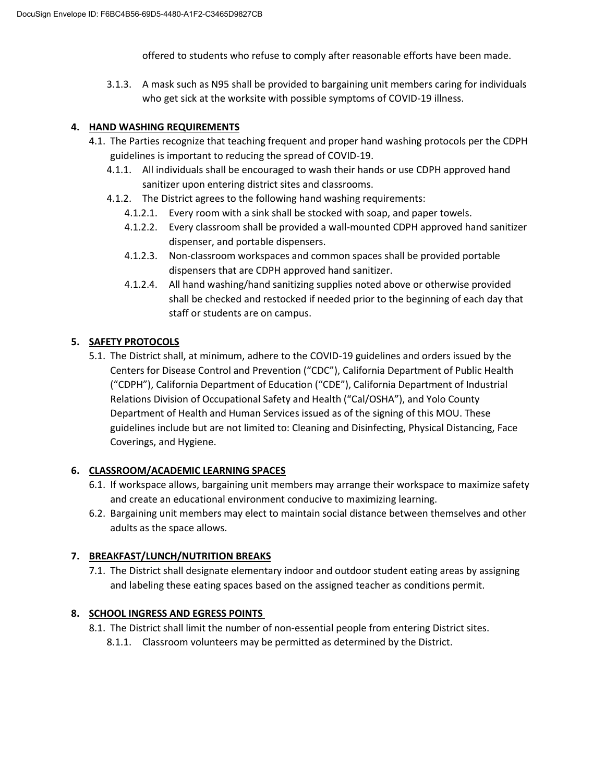offered to students who refuse to comply after reasonable efforts have been made.

3.1.3. A mask such as N95 shall be provided to bargaining unit members caring for individuals who get sick at the worksite with possible symptoms of COVID-19 illness.

#### **4. HAND WASHING REQUIREMENTS**

- 4.1. The Parties recognize that teaching frequent and proper hand washing protocols per the CDPH guidelines is important to reducing the spread of COVID-19.
	- 4.1.1. All individuals shall be encouraged to wash their hands or use CDPH approved hand sanitizer upon entering district sites and classrooms.
	- 4.1.2. The District agrees to the following hand washing requirements:
		- 4.1.2.1. Every room with a sink shall be stocked with soap, and paper towels.
		- 4.1.2.2. Every classroom shall be provided a wall-mounted CDPH approved hand sanitizer dispenser, and portable dispensers.
		- 4.1.2.3. Non-classroom workspaces and common spaces shall be provided portable dispensers that are CDPH approved hand sanitizer.
		- 4.1.2.4. All hand washing/hand sanitizing supplies noted above or otherwise provided shall be checked and restocked if needed prior to the beginning of each day that staff or students are on campus.

## **5. SAFETY PROTOCOLS**

5.1. The District shall, at minimum, adhere to the COVID-19 guidelines and orders issued by the Centers for Disease Control and Prevention ("CDC"), California Department of Public Health ("CDPH"), California Department of Education ("CDE"), California Department of Industrial Relations Division of Occupational Safety and Health ("Cal/OSHA"), and Yolo County Department of Health and Human Services issued as of the signing of this MOU. These guidelines include but are not limited to: Cleaning and Disinfecting, Physical Distancing, Face Coverings, and Hygiene.

### **6. CLASSROOM/ACADEMIC LEARNING SPACES**

- 6.1. If workspace allows, bargaining unit members may arrange their workspace to maximize safety and create an educational environment conducive to maximizing learning.
- 6.2. Bargaining unit members may elect to maintain social distance between themselves and other adults as the space allows.

### **7. BREAKFAST/LUNCH/NUTRITION BREAKS**

7.1. The District shall designate elementary indoor and outdoor student eating areas by assigning and labeling these eating spaces based on the assigned teacher as conditions permit.

### **8. SCHOOL INGRESS AND EGRESS POINTS**

- 8.1. The District shall limit the number of non-essential people from entering District sites.
	- 8.1.1. Classroom volunteers may be permitted as determined by the District.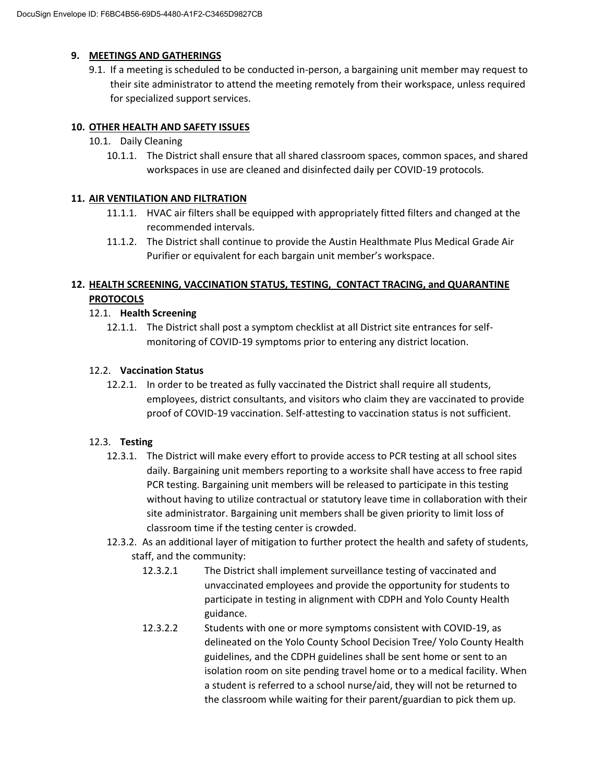#### **9. MEETINGS AND GATHERINGS**

9.1. If a meeting is scheduled to be conducted in-person, a bargaining unit member may request to their site administrator to attend the meeting remotely from their workspace, unless required for specialized support services.

#### **10. OTHER HEALTH AND SAFETY ISSUES**

- 10.1. Daily Cleaning
	- 10.1.1. The District shall ensure that all shared classroom spaces, common spaces, and shared workspaces in use are cleaned and disinfected daily per COVID-19 protocols.

#### **11. AIR VENTILATION AND FILTRATION**

- 11.1.1. HVAC air filters shall be equipped with appropriately fitted filters and changed at the recommended intervals.
- 11.1.2. The District shall continue to provide the Austin Healthmate Plus Medical Grade Air Purifier or equivalent for each bargain unit member's workspace.

## **12. HEALTH SCREENING, VACCINATION STATUS, TESTING, CONTACT TRACING, and QUARANTINE PROTOCOLS**

#### 12.1. **Health Screening**

12.1.1. The District shall post a symptom checklist at all District site entrances for selfmonitoring of COVID-19 symptoms prior to entering any district location.

#### 12.2. **Vaccination Status**

12.2.1. In order to be treated as fully vaccinated the District shall require all students, employees, district consultants, and visitors who claim they are vaccinated to provide proof of COVID-19 vaccination. Self-attesting to vaccination status is not sufficient.

#### 12.3. **Testing**

- 12.3.1. The District will make every effort to provide access to PCR testing at all school sites daily. Bargaining unit members reporting to a worksite shall have access to free rapid PCR testing. Bargaining unit members will be released to participate in this testing without having to utilize contractual or statutory leave time in collaboration with their site administrator. Bargaining unit members shall be given priority to limit loss of classroom time if the testing center is crowded.
- 12.3.2. As an additional layer of mitigation to further protect the health and safety of students, staff, and the community:
	- 12.3.2.1 The District shall implement surveillance testing of vaccinated and unvaccinated employees and provide the opportunity for students to participate in testing in alignment with CDPH and Yolo County Health guidance.
	- 12.3.2.2 Students with one or more symptoms consistent with COVID-19, as delineated on the Yolo County School Decision Tree/ Yolo County Health guidelines, and the CDPH guidelines shall be sent home or sent to an isolation room on site pending travel home or to a medical facility. When a student is referred to a school nurse/aid, they will not be returned to the classroom while waiting for their parent/guardian to pick them up.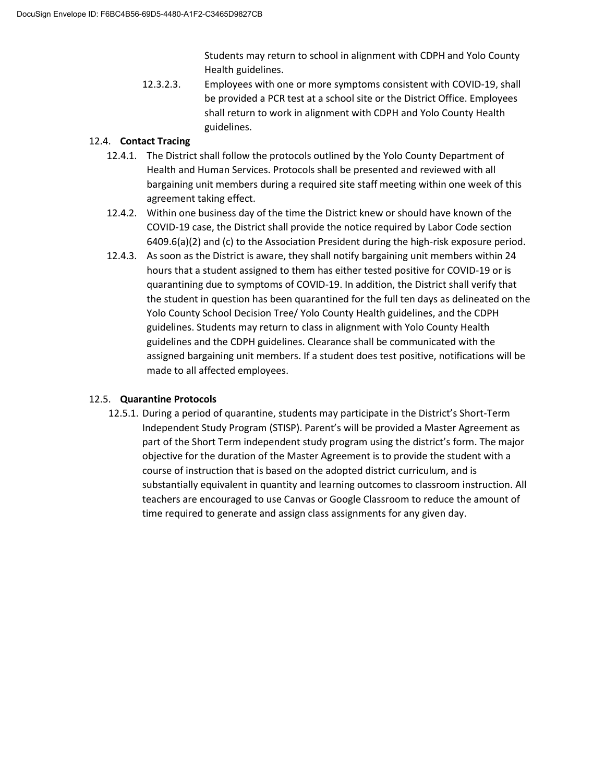Students may return to school in alignment with CDPH and Yolo County Health guidelines.

12.3.2.3. Employees with one or more symptoms consistent with COVID-19, shall be provided a PCR test at a school site or the District Office. Employees shall return to work in alignment with CDPH and Yolo County Health guidelines.

#### 12.4. **Contact Tracing**

- 12.4.1. The District shall follow the protocols outlined by the Yolo County Department of Health and Human Services. Protocols shall be presented and reviewed with all bargaining unit members during a required site staff meeting within one week of this agreement taking effect.
- 12.4.2. Within one business day of the time the District knew or should have known of the COVID-19 case, the District shall provide the notice required by Labor Code section 6409.6(a)(2) and (c) to the Association President during the high-risk exposure period.
- 12.4.3. As soon as the District is aware, they shall notify bargaining unit members within 24 hours that a student assigned to them has either tested positive for COVID-19 or is quarantining due to symptoms of COVID-19. In addition, the District shall verify that the student in question has been quarantined for the full ten days as delineated on the Yolo County School Decision Tree/ Yolo County Health guidelines, and the CDPH guidelines. Students may return to class in alignment with Yolo County Health guidelines and the CDPH guidelines. Clearance shall be communicated with the assigned bargaining unit members. If a student does test positive, notifications will be made to all affected employees.

### 12.5. **Quarantine Protocols**

12.5.1. During a period of quarantine, students may participate in the District's Short-Term Independent Study Program (STISP). Parent's will be provided a Master Agreement as part of the Short Term independent study program using the district's form. The major objective for the duration of the Master Agreement is to provide the student with a course of instruction that is based on the adopted district curriculum, and is substantially equivalent in quantity and learning outcomes to classroom instruction. All teachers are encouraged to use Canvas or Google Classroom to reduce the amount of time required to generate and assign class assignments for any given day.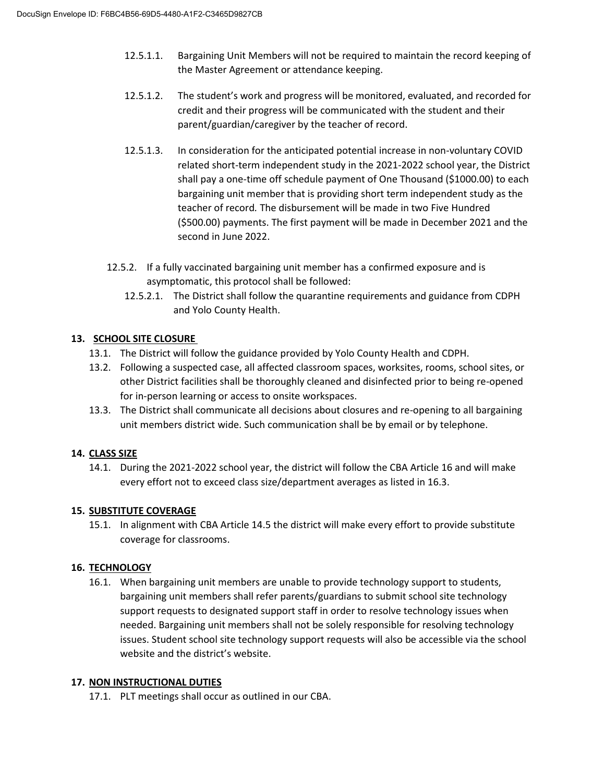- 12.5.1.1. Bargaining Unit Members will not be required to maintain the record keeping of the Master Agreement or attendance keeping.
- 12.5.1.2. The student's work and progress will be monitored, evaluated, and recorded for credit and their progress will be communicated with the student and their parent/guardian/caregiver by the teacher of record.
- 12.5.1.3. In consideration for the anticipated potential increase in non-voluntary COVID related short-term independent study in the 2021-2022 school year, the District shall pay a one-time off schedule payment of One Thousand (\$1000.00) to each bargaining unit member that is providing short term independent study as the teacher of record*.* The disbursement will be made in two Five Hundred (\$500.00) payments. The first payment will be made in December 2021 and the second in June 2022.
- 12.5.2. If a fully vaccinated bargaining unit member has a confirmed exposure and is asymptomatic, this protocol shall be followed:
	- 12.5.2.1. The District shall follow the quarantine requirements and guidance from CDPH and Yolo County Health.

## **13. SCHOOL SITE CLOSURE**

- 13.1. The District will follow the guidance provided by Yolo County Health and CDPH.
- 13.2. Following a suspected case, all affected classroom spaces, worksites, rooms, school sites, or other District facilities shall be thoroughly cleaned and disinfected prior to being re-opened for in-person learning or access to onsite workspaces.
- 13.3. The District shall communicate all decisions about closures and re-opening to all bargaining unit members district wide. Such communication shall be by email or by telephone.

### **14. CLASS SIZE**

14.1. During the 2021-2022 school year, the district will follow the CBA Article 16 and will make every effort not to exceed class size/department averages as listed in 16.3.

# **15. SUBSTITUTE COVERAGE**

15.1. In alignment with CBA Article 14.5 the district will make every effort to provide substitute coverage for classrooms.

# **16. TECHNOLOGY**

16.1. When bargaining unit members are unable to provide technology support to students, bargaining unit members shall refer parents/guardians to submit school site technology support requests to designated support staff in order to resolve technology issues when needed. Bargaining unit members shall not be solely responsible for resolving technology issues. Student school site technology support requests will also be accessible via the school website and the district's website.

#### **17. NON INSTRUCTIONAL DUTIES**

17.1. PLT meetings shall occur as outlined in our CBA.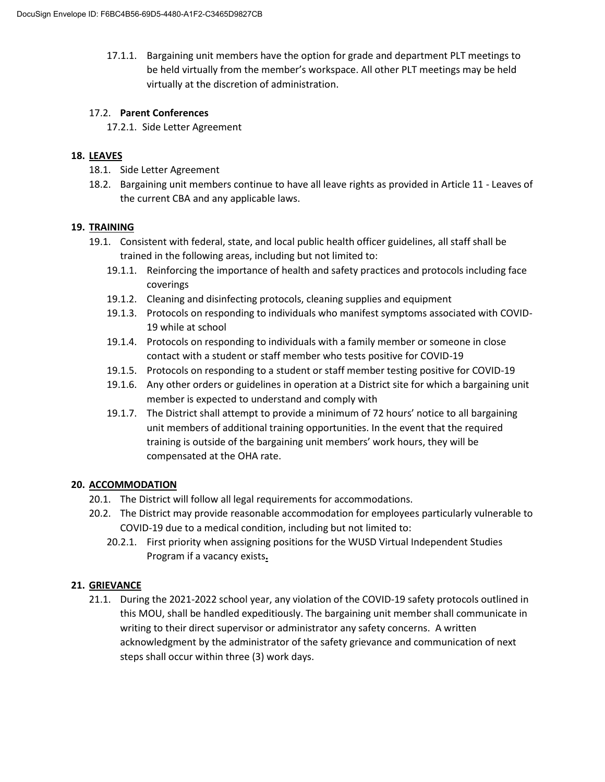17.1.1. Bargaining unit members have the option for grade and department PLT meetings to be held virtually from the member's workspace. All other PLT meetings may be held virtually at the discretion of administration.

#### 17.2. **Parent Conferences**

17.2.1. Side Letter Agreement

#### **18. LEAVES**

- 18.1. Side Letter Agreement
- 18.2. Bargaining unit members continue to have all leave rights as provided in Article 11 Leaves of the current CBA and any applicable laws.

#### **19. TRAINING**

- 19.1. Consistent with federal, state, and local public health officer guidelines, all staff shall be trained in the following areas, including but not limited to:
	- 19.1.1. Reinforcing the importance of health and safety practices and protocols including face coverings
	- 19.1.2. Cleaning and disinfecting protocols, cleaning supplies and equipment
	- 19.1.3. Protocols on responding to individuals who manifest symptoms associated with COVID-19 while at school
	- 19.1.4. Protocols on responding to individuals with a family member or someone in close contact with a student or staff member who tests positive for COVID-19
	- 19.1.5. Protocols on responding to a student or staff member testing positive for COVID-19
	- 19.1.6. Any other orders or guidelines in operation at a District site for which a bargaining unit member is expected to understand and comply with
	- 19.1.7. The District shall attempt to provide a minimum of 72 hours' notice to all bargaining unit members of additional training opportunities. In the event that the required training is outside of the bargaining unit members' work hours, they will be compensated at the OHA rate.

### **20. ACCOMMODATION**

- 20.1. The District will follow all legal requirements for accommodations.
- 20.2. The District may provide reasonable accommodation for employees particularly vulnerable to COVID-19 due to a medical condition, including but not limited to:
	- 20.2.1. First priority when assigning positions for the WUSD Virtual Independent Studies Program if a vacancy exists**.**

### **21. GRIEVANCE**

21.1. During the 2021-2022 school year, any violation of the COVID-19 safety protocols outlined in this MOU, shall be handled expeditiously. The bargaining unit member shall communicate in writing to their direct supervisor or administrator any safety concerns. A written acknowledgment by the administrator of the safety grievance and communication of next steps shall occur within three (3) work days.